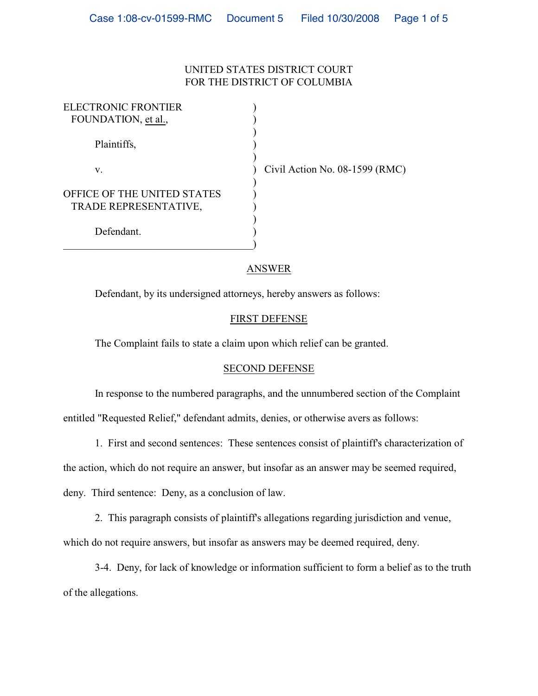## UNITED STATES DISTRICT COURT FOR THE DISTRICT OF COLUMBIA

| <b>ELECTRONIC FRONTIER</b>         |                                  |
|------------------------------------|----------------------------------|
| FOUNDATION, et al.,                |                                  |
|                                    |                                  |
| Plaintiffs,                        |                                  |
|                                    |                                  |
| V.                                 | Civil Action No. $08-1599$ (RMC) |
|                                    |                                  |
| <b>OFFICE OF THE UNITED STATES</b> |                                  |
| TRADE REPRESENTATIVE,              |                                  |
|                                    |                                  |
| Defendant.                         |                                  |
|                                    |                                  |

## ANSWER

Defendant, by its undersigned attorneys, hereby answers as follows:

## FIRST DEFENSE

The Complaint fails to state a claim upon which relief can be granted.

## SECOND DEFENSE

In response to the numbered paragraphs, and the unnumbered section of the Complaint entitled "Requested Relief," defendant admits, denies, or otherwise avers as follows:

1. First and second sentences: These sentences consist of plaintiff's characterization of the action, which do not require an answer, but insofar as an answer may be seemed required, deny. Third sentence: Deny, as a conclusion of law.

2. This paragraph consists of plaintiff's allegations regarding jurisdiction and venue, which do not require answers, but insofar as answers may be deemed required, deny.

3-4. Deny, for lack of knowledge or information sufficient to form a belief as to the truth of the allegations.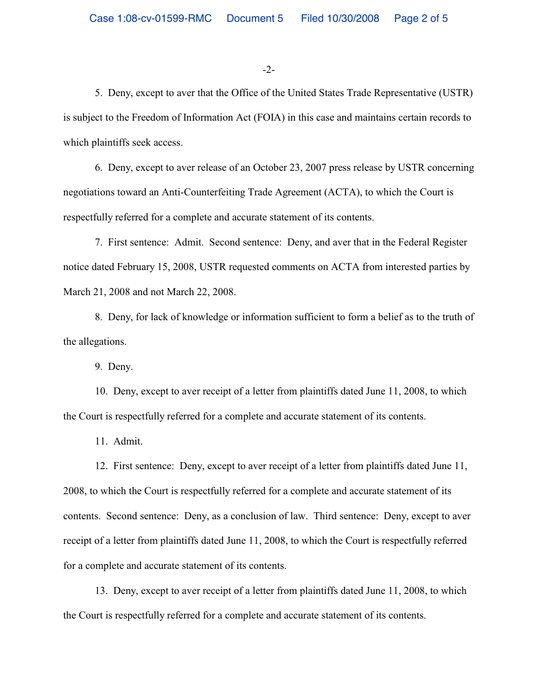-2-

5. Deny, except to aver that the Office of the United States Trade Representative (USTR) is subject to the Freedom of Information Act (FOIA) in this case and maintains certain records to which plaintiffs seek access.

6. Deny, except to aver release of an October 23, 2007 press release by USTR concerning negotiations toward an Anti-Counterfeiting Trade Agreement (ACTA), to which the Court is respectfully referred for a complete and accurate statement of its contents.

7. First sentence: Admit. Second sentence: Deny, and aver that in the Federal Register notice dated February 15, 2008, USTR requested comments on ACTA from interested parties by March 21, 2008 and not March 22, 2008.

8. Deny, for lack of knowledge or information sufficient to form a belief as to the truth of the allegations.

9. Deny.

10. Deny, except to aver receipt of a letter from plaintiffs dated June 11, 2008, to which the Court is respectfully referred for a complete and accurate statement of its contents.

11. Admit.

12. First sentence: Deny, except to aver receipt of a letter from plaintiffs dated June 11, 2008, to which the Court is respectfully referred for a complete and accurate statement of its contents. Second sentence: Deny, as a conclusion of law. Third sentence: Deny, except to aver receipt of a letter from plaintiffs dated June 11, 2008, to which the Court is respectfully referred for a complete and accurate statement of its contents.

13. Deny, except to aver receipt of a letter from plaintiffs dated June 11, 2008, to which the Court is respectfully referred for a complete and accurate statement of its contents.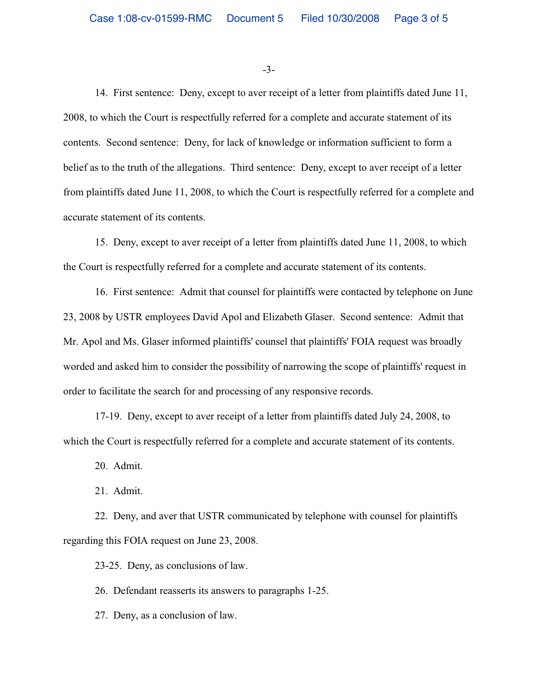-3-

14. First sentence: Deny, except to aver receipt of a letter from plaintiffs dated June 11, 2008, to which the Court is respectfully referred for a complete and accurate statement of its contents. Second sentence: Deny, for lack of knowledge or information sufficient to form a belief as to the truth of the allegations. Third sentence: Deny, except to aver receipt of a letter from plaintiffs dated June 11, 2008, to which the Court is respectfully referred for a complete and accurate statement of its contents.

15. Deny, except to aver receipt of a letter from plaintiffs dated June 11, 2008, to which the Court is respectfully referred for a complete and accurate statement of its contents.

16. First sentence: Admit that counsel for plaintiffs were contacted by telephone on June 23, 2008 by USTR employees David Apol and Elizabeth Glaser. Second sentence: Admit that Mr. Apol and Ms. Glaser informed plaintiffs' counsel that plaintiffs' FOIA request was broadly worded and asked him to consider the possibility of narrowing the scope of plaintiffs' request in order to facilitate the search for and processing of any responsive records.

17-19. Deny, except to aver receipt of a letter from plaintiffs dated July 24, 2008, to which the Court is respectfully referred for a complete and accurate statement of its contents.

20. Admit.

21. Admit.

22. Deny, and aver that USTR communicated by telephone with counsel for plaintiffs regarding this FOIA request on June 23, 2008.

23-25. Deny, as conclusions of law.

26. Defendant reasserts its answers to paragraphs 1-25.

27. Deny, as a conclusion of law.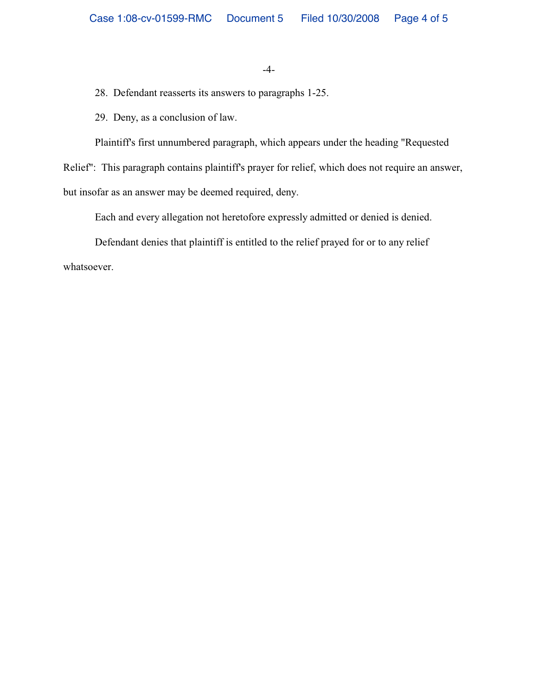-4-

28. Defendant reasserts its answers to paragraphs 1-25.

29. Deny, as a conclusion of law.

Plaintiff's first unnumbered paragraph, which appears under the heading "Requested

Relief": This paragraph contains plaintiff's prayer for relief, which does not require an answer,

but insofar as an answer may be deemed required, deny.

Each and every allegation not heretofore expressly admitted or denied is denied.

Defendant denies that plaintiff is entitled to the relief prayed for or to any relief

whatsoever.